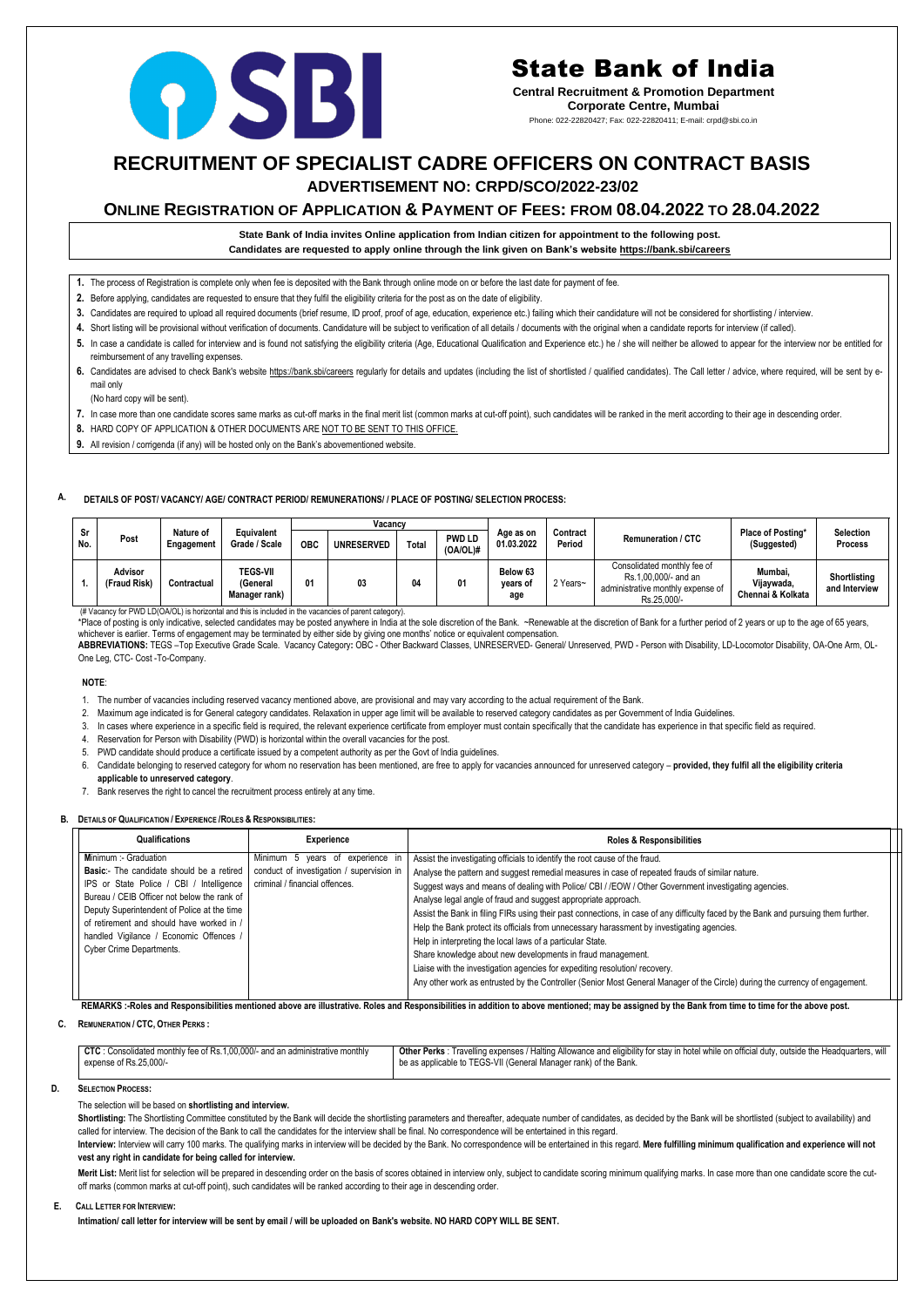## **RECRUITMENT OF SPECIALIST CADRE OFFICERS ON CONTRACT BASIS ADVERTISEMENT NO: CRPD/SCO/2022-23/02**

### **ONLINE REGISTRATION OF APPLICATION & PAYMENT OF FEES: FROM 08.04.2022 TO 28.04.2022**

**State Bank of India invites Online application from Indian citizen for appointment to the following post. Candidates are requested to apply online through the link given on Bank's websit[e https://bank.sbi/careers](https://bank.sbi/careers)**

- **1.** The process of Registration is complete only when fee is deposited with the Bank through online mode on or before the last date for payment of fee.
- **2.** Before applying, candidates are requested to ensure that they fulfil the eligibility criteria for the post as on the date of eligibility.
- **3.** Candidates are required to upload all required documents (brief resume, ID proof, proof of age, education, experience etc.) failing which their candidature will not be considered for shortlisting / interview.
- **4.** Short listing will be provisional without verification of documents. Candidature will be subject to verification of all details / documents with the original when a candidate reports for interview (if called).
- 5. In case a candidate is called for interview and is found not satisfying the eligibility criteria (Age, Educational Qualification and Experience etc.) he / she will neither be allowed to appear for the interview nor be e reimbursement of any travelling expenses.
- 6. Candidates are advised to check Bank's website<https://bank.sbi/careers> regularly for details and updates (including the list of shortlisted / qualified candidates). The Call letter / advice, where required, will be sen mail only

\*Place of posting is only indicative, selected candidates may be posted anywhere in India at the sole discretion of the Bank. ~Renewable at the discretion of Bank for a further period of 2 years or up to the age of 65 year whichever is earlier. Terms of engagement may be terminated by either side by giving one months' notice or equivalent compensation.

(No hard copy will be sent).

- **7.** In case more than one candidate scores same marks as cut-off marks in the final merit list (common marks at cut-off point), such candidates will be ranked in the merit according to their age in descending order.
- **8.** HARD COPY OF APPLICATION & OTHER DOCUMENTS ARE NOT TO BE SENT TO THIS OFFICE.
- **9.** All revision / corrigenda (if any) will be hosted only on the Bank's abovementioned website.

#### **A. DETAILS OF POST/ VACANCY/ AGE/ CONTRACT PERIOD/ REMUNERATIONS/ / PLACE OF POSTING/ SELECTION PROCESS:**

|           | Post                           | Nature of<br>Engagement | Equivalent<br>Grade / Scale                  | Vacancv    |                   |       |                              |                             |                    |                                                                                                         |                                            |                                      |
|-----------|--------------------------------|-------------------------|----------------------------------------------|------------|-------------------|-------|------------------------------|-----------------------------|--------------------|---------------------------------------------------------------------------------------------------------|--------------------------------------------|--------------------------------------|
| Sr<br>No. |                                |                         |                                              | <b>OBC</b> | <b>UNRESERVED</b> | Total | <b>PWD LD</b><br>$(OA/OL)$ # | Age as on<br>01.03.2022     | Contract<br>Period | <b>Remuneration / CTC</b>                                                                               | <b>Place of Posting*</b><br>(Suggested)    | <b>Selection</b><br><b>Process</b>   |
|           | <b>Advisor</b><br>(Fraud Risk) | Contractual             | <b>TEGS-VII</b><br>(General<br>Manager rank) |            | 03                |       |                              | Below 63<br>vears of<br>age | 2 Years~           | Consolidated monthly fee of<br>Rs.1,00,000/- and an<br>administrative monthly expense of<br>Rs.25.000/- | Mumbai,<br>Vijaywada,<br>Chennai & Kolkata | <b>Shortlisting</b><br>and Interview |

(# Vacancy for PWD LD(OA/OL) is horizontal and this is included in the vacancies of parent category).

**ABBREVIATIONS:** TEGS –Top Executive Grade Scale. Vacancy Category**:** OBC - Other Backward Classes, UNRESERVED- General/ Unreserved, PWD - Person with Disability, LD-Locomotor Disability, OA-One Arm, OL-One Leg, CTC- Cost -To-Company.

#### **NOTE**:

Shortlisting: The Shortlisting Committee constituted by the Bank will decide the shortlisting parameters and thereafter, adequate number of candidates, as decided by the Bank will be shortlisted (subject to availability) a called for interview. The decision of the Bank to call the candidates for the interview shall be final. No correspondence will be entertained in this regard.

Interview: Interview will carry 100 marks. The qualifying marks in interview will be decided by the Bank. No correspondence will be entertained in this regard. Mere fulfilling minimum qualification and experience will not **vest any right in candidate for being called for interview.**

Merit List: Merit list for selection will be prepared in descending order on the basis of scores obtained in interview only, subject to candidate scoring minimum qualifying marks. In case more than one candidate score the off marks (common marks at cut-off point), such candidates will be ranked according to their age in descending order.

- 1. The number of vacancies including reserved vacancy mentioned above, are provisional and may vary according to the actual requirement of the Bank.
- 2. Maximum age indicated is for General category candidates. Relaxation in upper age limit will be available to reserved category candidates as per Government of India Guidelines.
- 3. In cases where experience in a specific field is required, the relevant experience certificate from employer must contain specifically that the candidate has experience in that specific field as required.
- 4. Reservation for Person with Disability (PWD) is horizontal within the overall vacancies for the post.
- 5. PWD candidate should produce a certificate issued by a competent authority as per the Govt of India guidelines.
- 6. Candidate belonging to reserved category for whom no reservation has been mentioned, are free to apply for vacancies announced for unreserved category **provided, they fulfil all the eligibility criteria applicable to unreserved category**.
- 7. Bank reserves the right to cancel the recruitment process entirely at any time.

#### **B. DETAILS OF QUALIFICATION / EXPERIENCE /ROLES & RESPONSIBILITIES:**

| Qualifications                                                                                                                                                                                                                                                                                                | <b>Experience</b>                                                                                               | <b>Roles &amp; Responsibilities</b>                                                                                                                                                                                                                                                                                                                                                                                                                                                                                                                                                           |  |
|---------------------------------------------------------------------------------------------------------------------------------------------------------------------------------------------------------------------------------------------------------------------------------------------------------------|-----------------------------------------------------------------------------------------------------------------|-----------------------------------------------------------------------------------------------------------------------------------------------------------------------------------------------------------------------------------------------------------------------------------------------------------------------------------------------------------------------------------------------------------------------------------------------------------------------------------------------------------------------------------------------------------------------------------------------|--|
| Minimum :- Graduation<br><b>Basic:-</b> The candidate should be a retired<br>IPS or State Police / CBI / Intelligence  <br>Bureau / CEIB Officer not below the rank of<br>Deputy Superintendent of Police at the time<br>of retirement and should have worked in /<br>handled Vigilance / Economic Offences / | Minimum 5 years of experience in<br>conduct of investigation / supervision in<br>criminal / financial offences. | Assist the investigating officials to identify the root cause of the fraud.<br>Analyse the pattern and suggest remedial measures in case of repeated frauds of similar nature.<br>Suggest ways and means of dealing with Police/ CBI / /EOW / Other Government investigating agencies.<br>Analyse legal angle of fraud and suggest appropriate approach.<br>Assist the Bank in filing FIRs using their past connections, in case of any difficulty faced by the Bank and pursuing them further.<br>Help the Bank protect its officials from unnecessary harassment by investigating agencies. |  |
| Cyber Crime Departments.                                                                                                                                                                                                                                                                                      |                                                                                                                 | Help in interpreting the local laws of a particular State.<br>Share knowledge about new developments in fraud management.<br>Liaise with the investigation agencies for expediting resolution/ recovery.<br>Any other work as entrusted by the Controller (Senior Most General Manager of the Circle) during the currency of engagement.                                                                                                                                                                                                                                                      |  |

REMARKS :-Roles and Responsibilities mentioned above are illustrative. Roles and Responsibilities in addition to above mentioned; may be assigned by the Bank from time to time for the above post.

#### **C. REMUNERATION / CTC, OTHER PERKS :**

| CTC : Consolidated monthly fee of Rs.1,00,000/- and an administrative monthly | <b>Other Perks</b> : Travelling expenses / Halting Allowance and eligibility for stay in hotel while on official duty, outside the Headquarters, will |
|-------------------------------------------------------------------------------|-------------------------------------------------------------------------------------------------------------------------------------------------------|
| expense of Rs.25,000/-                                                        | be as applicable to TEGS-VII (General Manager rank) of the Bank.                                                                                      |

#### **D. SELECTION PROCESS:**

#### The selection will be based on **shortlisting and interview.**

#### **E. CALL LETTER FOR INTERVIEW:**

**Intimation/ call letter for interview will be sent by email / will be uploaded on Bank's website. NO HARD COPY WILL BE SENT.**



# State Bank of India

**Central Recruitment & Promotion Department Corporate Centre, Mumbai** Phone: 022-22820427; Fax: 022-22820411; E-mail: crpd@sbi.co.in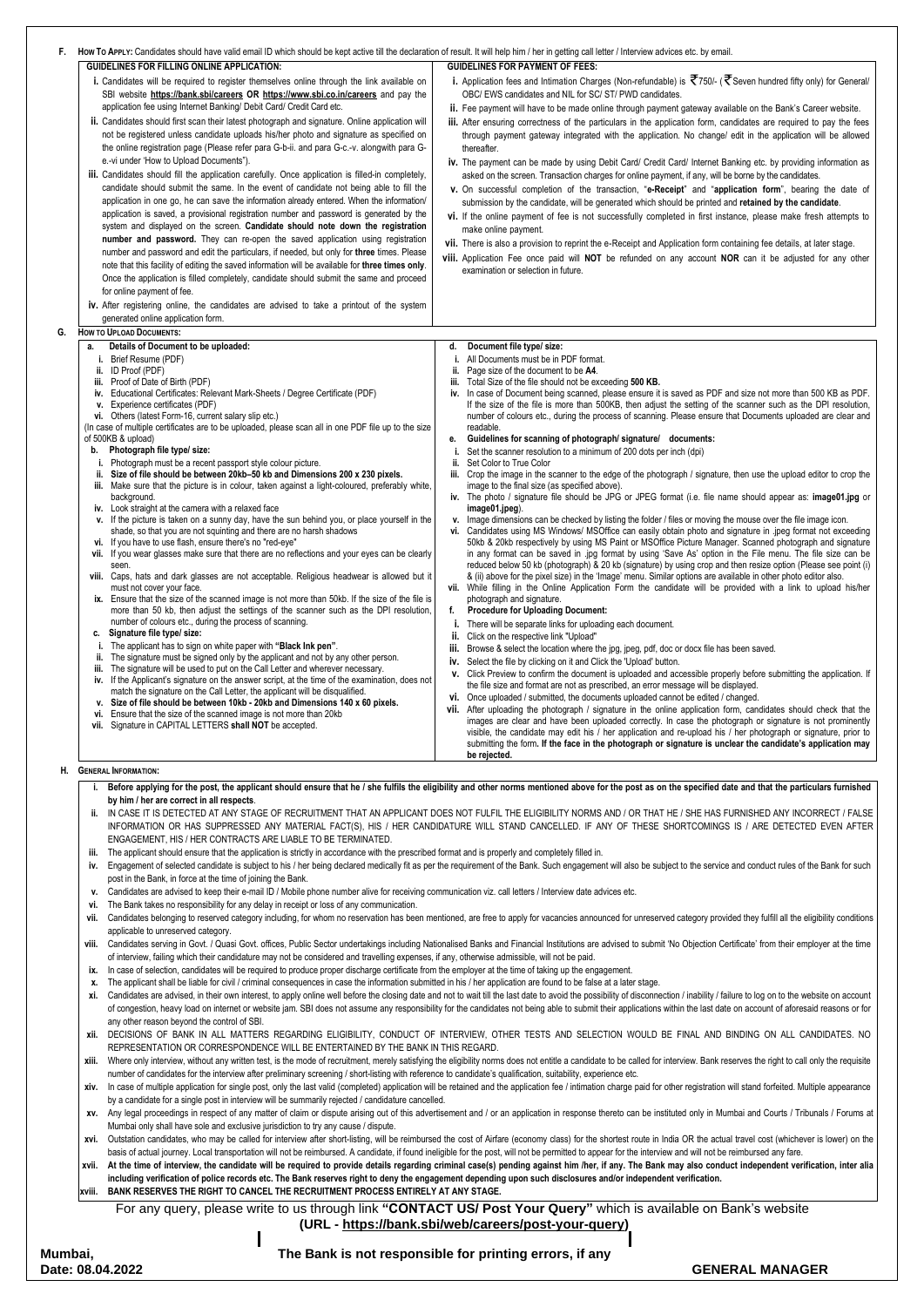| F. | How To APPLY: Candidates should have valid email ID which should be kept active till the declaration of result. It will help him / her in getting call letter / Interview advices etc. by email.                                                                                                                                                                                                                                                                                                                                                                                                                                                                                                                                                                                                                                                                                                                                                                                                                                                                                                                                                                                                                                                                                                                                                                                                                                                                                                                                                                                                                                                                                                                                                                                                                                                                                                                                            |                                                                                                                                                                                                                                                                                                                                                                                                                                                                                                                                                                                                                                                                                                                                                                                                                                                                                                                                                                                                                                                                                                                                                                                                                                                                                                                                                                                                                                                                                                                                                                                                                                                                                                                                                                                                                                                                                                                                                                                                                                                                                                                                                                                                                                                                                                                                                                                                                                                                     |
|----|---------------------------------------------------------------------------------------------------------------------------------------------------------------------------------------------------------------------------------------------------------------------------------------------------------------------------------------------------------------------------------------------------------------------------------------------------------------------------------------------------------------------------------------------------------------------------------------------------------------------------------------------------------------------------------------------------------------------------------------------------------------------------------------------------------------------------------------------------------------------------------------------------------------------------------------------------------------------------------------------------------------------------------------------------------------------------------------------------------------------------------------------------------------------------------------------------------------------------------------------------------------------------------------------------------------------------------------------------------------------------------------------------------------------------------------------------------------------------------------------------------------------------------------------------------------------------------------------------------------------------------------------------------------------------------------------------------------------------------------------------------------------------------------------------------------------------------------------------------------------------------------------------------------------------------------------|---------------------------------------------------------------------------------------------------------------------------------------------------------------------------------------------------------------------------------------------------------------------------------------------------------------------------------------------------------------------------------------------------------------------------------------------------------------------------------------------------------------------------------------------------------------------------------------------------------------------------------------------------------------------------------------------------------------------------------------------------------------------------------------------------------------------------------------------------------------------------------------------------------------------------------------------------------------------------------------------------------------------------------------------------------------------------------------------------------------------------------------------------------------------------------------------------------------------------------------------------------------------------------------------------------------------------------------------------------------------------------------------------------------------------------------------------------------------------------------------------------------------------------------------------------------------------------------------------------------------------------------------------------------------------------------------------------------------------------------------------------------------------------------------------------------------------------------------------------------------------------------------------------------------------------------------------------------------------------------------------------------------------------------------------------------------------------------------------------------------------------------------------------------------------------------------------------------------------------------------------------------------------------------------------------------------------------------------------------------------------------------------------------------------------------------------------------------------|
|    | <b>GUIDELINES FOR FILLING ONLINE APPLICATION:</b>                                                                                                                                                                                                                                                                                                                                                                                                                                                                                                                                                                                                                                                                                                                                                                                                                                                                                                                                                                                                                                                                                                                                                                                                                                                                                                                                                                                                                                                                                                                                                                                                                                                                                                                                                                                                                                                                                           | <b>GUIDELINES FOR PAYMENT OF FEES:</b>                                                                                                                                                                                                                                                                                                                                                                                                                                                                                                                                                                                                                                                                                                                                                                                                                                                                                                                                                                                                                                                                                                                                                                                                                                                                                                                                                                                                                                                                                                                                                                                                                                                                                                                                                                                                                                                                                                                                                                                                                                                                                                                                                                                                                                                                                                                                                                                                                              |
|    | i. Candidates will be required to register themselves online through the link available on<br>SBI website https://bank.sbi/careers OR https://www.sbi.co.in/careers and pay the<br>application fee using Internet Banking/ Debit Card/ Credit Card etc.<br>ii. Candidates should first scan their latest photograph and signature. Online application will<br>not be registered unless candidate uploads his/her photo and signature as specified on<br>the online registration page (Please refer para G-b-ii. and para G-c.-v. alongwith para G-<br>e.-vi under 'How to Upload Documents").<br>iii. Candidates should fill the application carefully. Once application is filled-in completely,<br>candidate should submit the same. In the event of candidate not being able to fill the<br>application in one go, he can save the information already entered. When the information/<br>application is saved, a provisional registration number and password is generated by the<br>system and displayed on the screen. Candidate should note down the registration<br>number and password. They can re-open the saved application using registration                                                                                                                                                                                                                                                                                                                                                                                                                                                                                                                                                                                                                                                                                                                                                                                   | i. Application fees and Intimation Charges (Non-refundable) is $\bar{\mathfrak{T}}$ 750/- ( $\bar{\mathfrak{T}}$ Seven hundred fifty only) for General/<br>OBC/ EWS candidates and NIL for SC/ ST/ PWD candidates.<br>ii. Fee payment will have to be made online through payment gateway available on the Bank's Career website.<br>iii. After ensuring correctness of the particulars in the application form, candidates are required to pay the fees<br>through payment gateway integrated with the application. No change/ edit in the application will be allowed<br>thereafter.<br>iv. The payment can be made by using Debit Card/ Credit Card/ Internet Banking etc. by providing information as<br>asked on the screen. Transaction charges for online payment, if any, will be borne by the candidates.<br>v. On successful completion of the transaction, "e-Receipt" and "application form", bearing the date of<br>submission by the candidate, will be generated which should be printed and retained by the candidate.<br>vi. If the online payment of fee is not successfully completed in first instance, please make fresh attempts to<br>make online payment.<br>vii. There is also a provision to reprint the e-Receipt and Application form containing fee details, at later stage.                                                                                                                                                                                                                                                                                                                                                                                                                                                                                                                                                                                                                                                                                                                                                                                                                                                                                                                                                                                                                                                                                                                                                           |
|    | number and password and edit the particulars, if needed, but only for three times. Please<br>note that this facility of editing the saved information will be available for three times only.<br>Once the application is filled completely, candidate should submit the same and proceed<br>for online payment of fee.                                                                                                                                                                                                                                                                                                                                                                                                                                                                                                                                                                                                                                                                                                                                                                                                                                                                                                                                                                                                                                                                                                                                                                                                                                                                                                                                                                                                                                                                                                                                                                                                                      | viii. Application Fee once paid will NOT be refunded on any account NOR can it be adjusted for any other<br>examination or selection in future.                                                                                                                                                                                                                                                                                                                                                                                                                                                                                                                                                                                                                                                                                                                                                                                                                                                                                                                                                                                                                                                                                                                                                                                                                                                                                                                                                                                                                                                                                                                                                                                                                                                                                                                                                                                                                                                                                                                                                                                                                                                                                                                                                                                                                                                                                                                     |
|    | iv. After registering online, the candidates are advised to take a printout of the system<br>generated online application form.                                                                                                                                                                                                                                                                                                                                                                                                                                                                                                                                                                                                                                                                                                                                                                                                                                                                                                                                                                                                                                                                                                                                                                                                                                                                                                                                                                                                                                                                                                                                                                                                                                                                                                                                                                                                             |                                                                                                                                                                                                                                                                                                                                                                                                                                                                                                                                                                                                                                                                                                                                                                                                                                                                                                                                                                                                                                                                                                                                                                                                                                                                                                                                                                                                                                                                                                                                                                                                                                                                                                                                                                                                                                                                                                                                                                                                                                                                                                                                                                                                                                                                                                                                                                                                                                                                     |
| G. | <b>HOW TO UPLOAD DOCUMENTS:</b>                                                                                                                                                                                                                                                                                                                                                                                                                                                                                                                                                                                                                                                                                                                                                                                                                                                                                                                                                                                                                                                                                                                                                                                                                                                                                                                                                                                                                                                                                                                                                                                                                                                                                                                                                                                                                                                                                                             |                                                                                                                                                                                                                                                                                                                                                                                                                                                                                                                                                                                                                                                                                                                                                                                                                                                                                                                                                                                                                                                                                                                                                                                                                                                                                                                                                                                                                                                                                                                                                                                                                                                                                                                                                                                                                                                                                                                                                                                                                                                                                                                                                                                                                                                                                                                                                                                                                                                                     |
|    | Details of Document to be uploaded:<br>а.                                                                                                                                                                                                                                                                                                                                                                                                                                                                                                                                                                                                                                                                                                                                                                                                                                                                                                                                                                                                                                                                                                                                                                                                                                                                                                                                                                                                                                                                                                                                                                                                                                                                                                                                                                                                                                                                                                   | Document file type/ size:<br>d.<br>All Documents must be in PDF format.                                                                                                                                                                                                                                                                                                                                                                                                                                                                                                                                                                                                                                                                                                                                                                                                                                                                                                                                                                                                                                                                                                                                                                                                                                                                                                                                                                                                                                                                                                                                                                                                                                                                                                                                                                                                                                                                                                                                                                                                                                                                                                                                                                                                                                                                                                                                                                                             |
|    | ii. ID Proof (PDF)<br>iii. Proof of Date of Birth (PDF)<br>iv. Educational Certificates: Relevant Mark-Sheets / Degree Certificate (PDF)<br>v. Experience certificates (PDF)<br>vi. Others (latest Form-16, current salary slip etc.)<br>(In case of multiple certificates are to be uploaded, please scan all in one PDF file up to the size<br>of 500KB & upload)<br>Photograph file type/ size:<br>b.<br>i. Photograph must be a recent passport style colour picture.<br>ii. Size of file should be between 20kb-50 kb and Dimensions 200 x 230 pixels.<br>iii. Make sure that the picture is in colour, taken against a light-coloured, preferably white,<br>background.<br>iv. Look straight at the camera with a relaxed face<br>v. If the picture is taken on a sunny day, have the sun behind you, or place yourself in the<br>shade, so that you are not squinting and there are no harsh shadows<br>vi. If you have to use flash, ensure there's no "red-eye"<br>vii. If you wear glasses make sure that there are no reflections and your eyes can be clearly<br>seen.<br>viii. Caps, hats and dark glasses are not acceptable. Religious headwear is allowed but it<br>must not cover your face.<br>ix. Ensure that the size of the scanned image is not more than 50kb. If the size of the file is<br>more than 50 kb, then adjust the settings of the scanner such as the DPI resolution,<br>number of colours etc., during the process of scanning.<br>Signature file type/ size:<br>c.<br>i. The applicant has to sign on white paper with "Black Ink pen".<br>ii. The signature must be signed only by the applicant and not by any other person.<br>The signature will be used to put on the Call Letter and wherever necessary.<br>Ш.<br>iv. If the Applicant's signature on the answer script, at the time of the examination, does not<br>match the signature on the Call Letter, the applicant will be disqualified. | Page size of the document to be A4.<br>ii.<br>Total Size of the file should not be exceeding 500 KB.<br>iii.<br>iv. In case of Document being scanned, please ensure it is saved as PDF and size not more than 500 KB as PDF.<br>If the size of the file is more than 500KB, then adjust the setting of the scanner such as the DPI resolution,<br>number of colours etc., during the process of scanning. Please ensure that Documents uploaded are clear and<br>readable.<br>Guidelines for scanning of photograph/ signature/ documents:<br>е.<br>Set the scanner resolution to a minimum of 200 dots per inch (dpi)<br>ii.<br>Set Color to True Color<br>iii. Crop the image in the scanner to the edge of the photograph / signature, then use the upload editor to crop the<br>image to the final size (as specified above).<br>iv. The photo / signature file should be JPG or JPEG format (i.e. file name should appear as: image01.jpg or<br>image01.jpeg).<br>v. Image dimensions can be checked by listing the folder / files or moving the mouse over the file image icon.<br>vi. Candidates using MS Windows/ MSOffice can easily obtain photo and signature in .jpeg format not exceeding<br>50kb & 20kb respectively by using MS Paint or MSOffice Picture Manager. Scanned photograph and signature<br>in any format can be saved in .jpg format by using 'Save As' option in the File menu. The file size can be<br>reduced below 50 kb (photograph) & 20 kb (signature) by using crop and then resize option (Please see point (i)<br>& (ii) above for the pixel size) in the 'Image' menu. Similar options are available in other photo editor also.<br>vii. While filling in the Online Application Form the candidate will be provided with a link to upload his/her<br>photograph and signature.<br><b>Procedure for Uploading Document:</b><br>f.<br>There will be separate links for uploading each document.<br>ii.<br>Click on the respective link "Upload"<br>Browse & select the location where the jpg, jpeg, pdf, doc or docx file has been saved.<br>ш.<br>Select the file by clicking on it and Click the 'Upload' button.<br>IV.<br>v. Click Preview to confirm the document is uploaded and accessible properly before submitting the application. If<br>the file size and format are not as prescribed, an error message will be displayed.<br>vi. Once uploaded / submitted, the documents uploaded cannot be edited / changed. |
|    | v. Size of file should be between 10kb - 20kb and Dimensions 140 x 60 pixels.<br>Ensure that the size of the scanned image is not more than 20kb<br>VI.<br>vii. Signature in CAPITAL LETTERS shall NOT be accepted.                                                                                                                                                                                                                                                                                                                                                                                                                                                                                                                                                                                                                                                                                                                                                                                                                                                                                                                                                                                                                                                                                                                                                                                                                                                                                                                                                                                                                                                                                                                                                                                                                                                                                                                         | After uploading the photograph / signature in the online application form, candidates should check that the<br>VII.<br>images are clear and have been uploaded correctly. In case the photograph or signature is not prominently<br>visible, the candidate may edit his / her application and re-upload his / her photograph or signature, prior to<br>submitting the form. If the face in the photograph or signature is unclear the candidate's application may<br>be rejected.                                                                                                                                                                                                                                                                                                                                                                                                                                                                                                                                                                                                                                                                                                                                                                                                                                                                                                                                                                                                                                                                                                                                                                                                                                                                                                                                                                                                                                                                                                                                                                                                                                                                                                                                                                                                                                                                                                                                                                                   |

iv. Engagement of selected candidate is subject to his / her being declared medically fit as per the requirement of the Bank. Such engagement will also be subject to the service and conduct rules of the Bank for such post in the Bank, in force at the time of joining the Bank.

- viii. Candidates serving in Govt. / Quasi Govt. offices, Public Sector undertakings including Nationalised Banks and Financial Institutions are advised to submit 'No Objection Certificate' from their employer at the time of interview, failing which their candidature may not be considered and travelling expenses, if any, otherwise admissible, will not be paid.
- **ix.** In case of selection, candidates will be required to produce proper discharge certificate from the employer at the time of taking up the engagement.
- **x.** The applicant shall be liable for civil / criminal consequences in case the information submitted in his / her application are found to be false at a later stage.
- xi. Candidates are advised, in their own interest, to apply online well before the closing date and not to wait till the last date to avoid the possibility of disconnection / inability / failure to log on to the website on of congestion, heavy load on internet or website jam. SBI does not assume any responsibility for the candidates not being able to submit their applications within the last date on account of aforesaid reasons or for any other reason beyond the control of SBI.
- **xii.** DECISIONS OF BANK IN ALL MATTERS REGARDING ELIGIBILITY, CONDUCT OF INTERVIEW, OTHER TESTS AND SELECTION WOULD BE FINAL AND BINDING ON ALL CANDIDATES. NO REPRESENTATION OR CORRESPONDENCE WILL BE ENTERTAINED BY THE BANK IN THIS REGARD.
- xiii. Where only interview, without any written test, is the mode of recruitment, merely satisfying the eligibility norms does not entitle a candidate to be called for interview. Bank reserves the right to call only the re number of candidates for the interview after preliminary screening / short-listing with reference to candidate's qualification, suitability, experience etc.
- xiv. In case of multiple application for single post, only the last valid (completed) application will be retained and the application fee / intimation charge paid for other registration will stand forfeited. Multiple appe by a candidate for a single post in interview will be summarily rejected / candidature cancelled.
- xv. Any legal proceedings in respect of any matter of claim or dispute arising out of this advertisement and / or an application in response thereto can be instituted only in Mumbai and Courts / Tribunals / Forums at Mumbai only shall have sole and exclusive jurisdiction to try any cause / dispute.
- xvi. Outstation candidates, who may be called for interview after short-listing, will be reimbursed the cost of Airfare (economy class) for the shortest route in India OR the actual travel cost (whichever is lower) on the basis of actual journey. Local transportation will not be reimbursed. A candidate, if found ineligible for the post, will not be permitted to appear for the interview and will not be reimbursed any fare.
- xvii. At the time of interview, the candidate will be required to provide details regarding criminal case(s) pending against him /her, if any. The Bank may also conduct independent verification, inter alia **including verification of police records etc. The Bank reserves right to deny the engagement depending upon such disclosures and/or independent verification.**
- **xviii. BANK RESERVES THE RIGHT TO CANCEL THE RECRUITMENT PROCESS ENTIRELY AT ANY STAGE.**

#### **H. GENERAL INFORMATION:**

| Before applying for the post, the applicant should ensure that he / she fulfils the eligibility and other norms mentioned above for the post as on the specified date and that the particulars furnished |
|----------------------------------------------------------------------------------------------------------------------------------------------------------------------------------------------------------|
| by him / her are correct in all respects.                                                                                                                                                                |

**ii.** IN CASE IT IS DETECTED AT ANY STAGE OF RECRUITMENT THAT AN APPLICANT DOES NOT FULFIL THE ELIGIBILITY NORMS AND / OR THAT HE / SHE HAS FURNISHED ANY INCORRECT / FALSE INFORMATION OR HAS SUPPRESSED ANY MATERIAL FACT(S), HIS / HER CANDIDATURE WILL STAND CANCELLED. IF ANY OF THESE SHORTCOMINGS IS / ARE DETECTED EVEN AFTER ENGAGEMENT, HIS / HER CONTRACTS ARE LIABLE TO BE TERMINATED.

**iii.** The applicant should ensure that the application is strictly in accordance with the prescribed format and is properly and completely filled in.

- **v.** Candidates are advised to keep their e-mail ID / Mobile phone number alive for receiving communication viz. call letters / Interview date advices etc.
- **vi.** The Bank takes no responsibility for any delay in receipt or loss of any communication.

For any query, please write to us through link **"CONTACT US/ Post Your Query"** which is available on Bank's website **(URL - [https://bank.sbi/web/careers/post-your-query\)](https://bank.sbi/web/careers/post-your-query)**

**Mumbai,**

**Date: 08.04.2022 GENERAL MANAGER**

**The Bank is not responsible for printing errors, if any**

vii. Candidates belonging to reserved category including, for whom no reservation has been mentioned, are free to apply for vacancies announced for unreserved category provided they fulfill all the eligibility conditions applicable to unreserved category.